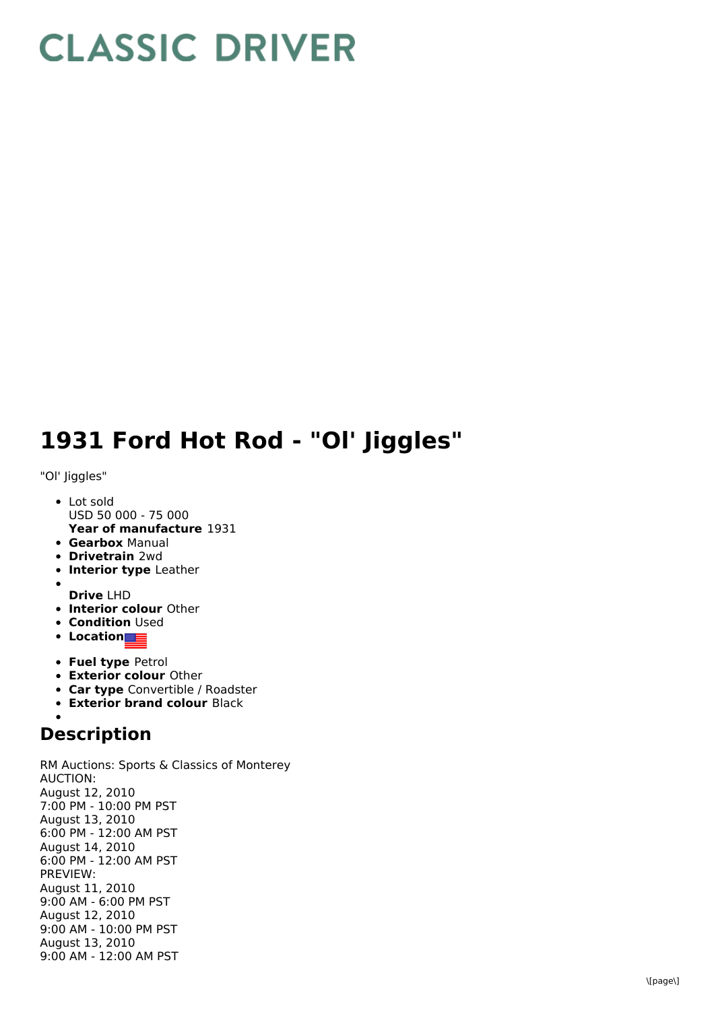## **CLASSIC DRIVER**

## **1931 Ford Hot Rod - "Ol' Jiggles"**

"Ol' Jiggles"

- **Year of manufacture** 1931 • Lot sold USD 50 000 - 75 000
- **Gearbox** Manual
- **Drivetrain** 2wd
- **Interior type** Leather
- **Drive** LHD
- **Interior colour** Other
- **Condition Used**
- **•** Location
- **Fuel type** Petrol
- **Exterior colour** Other
- **Car type** Convertible / Roadster
- **Exterior brand colour** Black

## **Description**

RM Auctions: Sports & Classics of Monterey AUCTION: August 12, 2010 7:00 PM - 10:00 PM PST August 13, 2010 6:00 PM - 12:00 AM PST August 14, 2010 6:00 PM - 12:00 AM PST PREVIEW: August 11, 2010 9:00 AM - 6:00 PM PST August 12, 2010 9:00 AM - 10:00 PM PST August 13, 2010 9:00 AM - 12:00 AM PST